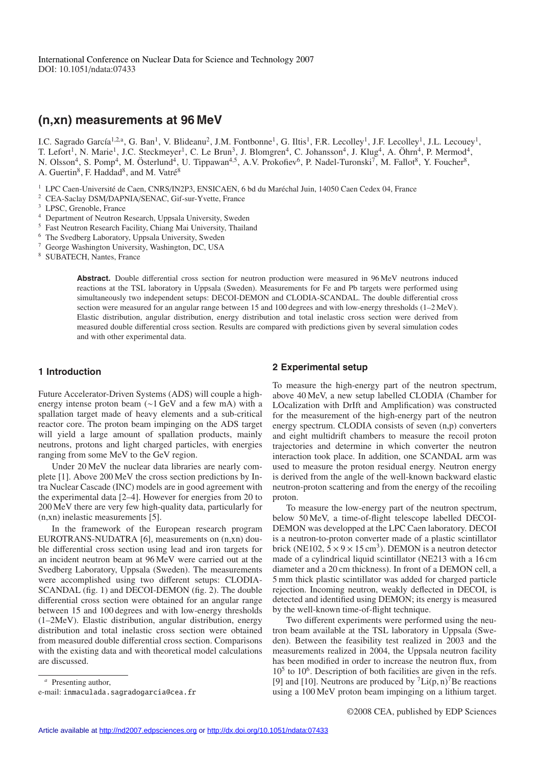# **(n,xn) measurements at 96 MeV**

I.C. Sagrado García<sup>1,2,a</sup>, G. Ban<sup>1</sup>, V. Blideanu<sup>2</sup>, J.M. Fontbonne<sup>1</sup>, G. Iltis<sup>1</sup>, F.R. Lecolley<sup>1</sup>, J.F. Lecolley<sup>1</sup>, J.L. Lecouey<sup>1</sup>, T. Lefort<sup>1</sup>, N. Marie<sup>1</sup>, J.C. Steckmeyer<sup>1</sup>, C. Le Brun<sup>3</sup>, J. Blomgren<sup>4</sup>, C. Johansson<sup>4</sup>, J. Klug<sup>4</sup>, A. Öhrn<sup>4</sup>, P. Mermod<sup>4</sup>, N. Olsson<sup>4</sup>, S. Pomp<sup>4</sup>, M. Österlund<sup>4</sup>, U. Tippawan<sup>4,5</sup>, A.V. Prokofiev<sup>6</sup>, P. Nadel-Turonski<sup>7</sup>, M. Fallot<sup>8</sup>, Y. Foucher<sup>8</sup>, A. Guertin<sup>8</sup>, F. Haddad<sup>8</sup>, and M. Vatré<sup>8</sup>

 $1$  LPC Caen-Université de Caen, CNRS/IN2P3, ENSICAEN, 6 bd du Maréchal Juin, 14050 Caen Cedex 04, France

- <sup>2</sup> CEA-Saclay DSM/DAPNIA/SENAC, Gif-sur-Yvette, France
- <sup>3</sup> LPSC, Grenoble, France
- <sup>4</sup> Department of Neutron Research, Uppsala University, Sweden
- <sup>5</sup> Fast Neutron Research Facility, Chiang Mai University, Thailand
- <sup>6</sup> The Svedberg Laboratory, Uppsala University, Sweden
- <sup>7</sup> George Washington University, Washington, DC, USA
- <sup>8</sup> SUBATECH, Nantes, France

Abstract. Double differential cross section for neutron production were measured in 96 MeV neutrons induced reactions at the TSL laboratory in Uppsala (Sweden). Measurements for Fe and Pb targets were performed using simultaneously two independent setups: DECOI-DEMON and CLODIA-SCANDAL. The double differential cross section were measured for an angular range between 15 and 100 degrees and with low-energy thresholds (1–2 MeV). Elastic distribution, angular distribution, energy distribution and total inelastic cross section were derived from measured double differential cross section. Results are compared with predictions given by several simulation codes and with other experimental data.

## **1 Introduction**

Future Accelerator-Driven Systems (ADS) will couple a highenergy intense proton beam (∼1 GeV and a few mA) with a spallation target made of heavy elements and a sub-critical reactor core. The proton beam impinging on the ADS target will yield a large amount of spallation products, mainly neutrons, protons and light charged particles, with energies ranging from some MeV to the GeV region.

Under 20 MeV the nuclear data libraries are nearly complete [1]. Above 200 MeV the cross section predictions by Intra Nuclear Cascade (INC) models are in good agreement with the experimental data [2–4]. However for energies from 20 to 200 MeV there are very few high-quality data, particularly for (n,xn) inelastic measurements [5].

In the framework of the European research program EUROTRANS-NUDATRA [6], measurements on (n,xn) double differential cross section using lead and iron targets for an incident neutron beam at 96 MeV were carried out at the Svedberg Laboratory, Uppsala (Sweden). The measurements were accomplished using two different setups: CLODIA-SCANDAL (fig. 1) and DECOI-DEMON (fig. 2). The double differential cross section were obtained for an angular range between 15 and 100 degrees and with low-energy thresholds (1–2MeV). Elastic distribution, angular distribution, energy distribution and total inelastic cross section were obtained from measured double differential cross section. Comparisons with the existing data and with theoretical model calculations are discussed.

#### **2 Experimental setup**

To measure the high-energy part of the neutron spectrum, above 40 MeV, a new setup labelled CLODIA (Chamber for LOcalization with DrIft and Amplification) was constructed for the measurement of the high-energy part of the neutron energy spectrum. CLODIA consists of seven (n,p) converters and eight multidrift chambers to measure the recoil proton trajectories and determine in which converter the neutron interaction took place. In addition, one SCANDAL arm was used to measure the proton residual energy. Neutron energy is derived from the angle of the well-known backward elastic neutron-proton scattering and from the energy of the recoiling proton.

To measure the low-energy part of the neutron spectrum, below 50 MeV, a time-of-flight telescope labelled DECOI-DEMON was developped at the LPC Caen laboratory. DECOI is a neutron-to-proton converter made of a plastic scintillator brick (NE102,  $5 \times 9 \times 15$  cm<sup>3</sup>). DEMON is a neutron detector made of a cylindrical liquid scintillator (NE213 with a 16 cm diameter and a 20 cm thickness). In front of a DEMON cell, a 5 mm thick plastic scintillator was added for charged particle rejection. Incoming neutron, weakly deflected in DECOI, is detected and identified using DEMON; its energy is measured by the well-known time-of-flight technique.

Two different experiments were performed using the neutron beam available at the TSL laboratory in Uppsala (Sweden). Between the feasibility test realized in 2003 and the measurements realized in 2004, the Uppsala neutron facility has been modified in order to increase the neutron flux, from  $10<sup>5</sup>$  to  $10<sup>6</sup>$ . Description of both facilities are given in the refs. [9] and [10]. Neutrons are produced by  ${}^{7}$ Li(p, n)<sup>7</sup>Be reactions using a 100 MeV proton beam impinging on a lithium target.

*<sup>a</sup>* Presenting author,

e-mail: inmaculada.sagradogarcia@cea.fr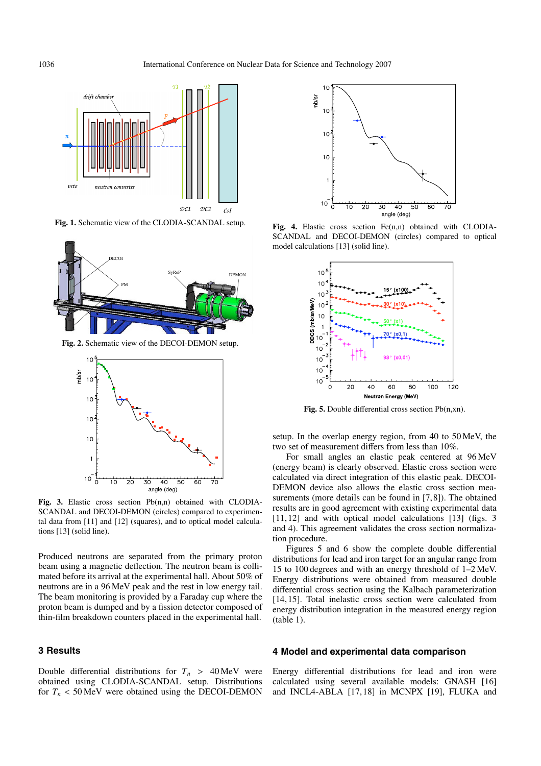

**Fig. 1.** Schematic view of the CLODIA-SCANDAL setup.



**Fig. 2.** Schematic view of the DECOI-DEMON setup.



**Fig. 3.** Elastic cross section Pb(n,n) obtained with CLODIA-SCANDAL and DECOI-DEMON (circles) compared to experimental data from [11] and [12] (squares), and to optical model calculations [13] (solid line).

Produced neutrons are separated from the primary proton beam using a magnetic deflection. The neutron beam is collimated before its arrival at the experimental hall. About 50% of neutrons are in a 96 MeV peak and the rest in low energy tail. The beam monitoring is provided by a Faraday cup where the proton beam is dumped and by a fission detector composed of thin-film breakdown counters placed in the experimental hall.

# **3 Results**

Double differential distributions for  $T_n$  > 40 MeV were obtained using CLODIA-SCANDAL setup. Distributions for  $T_n < 50 \,\text{MeV}$  were obtained using the DECOI-DEMON



Fig. 4. Elastic cross section Fe(n,n) obtained with CLODIA-SCANDAL and DECOI-DEMON (circles) compared to optical model calculations [13] (solid line).



**Fig. 5.** Double differential cross section Pb(n,xn).

setup. In the overlap energy region, from 40 to 50 MeV, the two set of measurement differs from less than 10%.

For small angles an elastic peak centered at 96 MeV (energy beam) is clearly observed. Elastic cross section were calculated via direct integration of this elastic peak. DECOI-DEMON device also allows the elastic cross section measurements (more details can be found in [7, 8]). The obtained results are in good agreement with existing experimental data [11, 12] and with optical model calculations [13] (figs. 3 and 4). This agreement validates the cross section normalization procedure.

Figures 5 and 6 show the complete double differential distributions for lead and iron target for an angular range from 15 to 100 degrees and with an energy threshold of 1–2 MeV. Energy distributions were obtained from measured double differential cross section using the Kalbach parameterization [14, 15]. Total inelastic cross section were calculated from energy distribution integration in the measured energy region (table 1).

## **4 Model and experimental data comparison**

Energy differential distributions for lead and iron were calculated using several available models: GNASH [16] and INCL4-ABLA [17, 18] in MCNPX [19], FLUKA and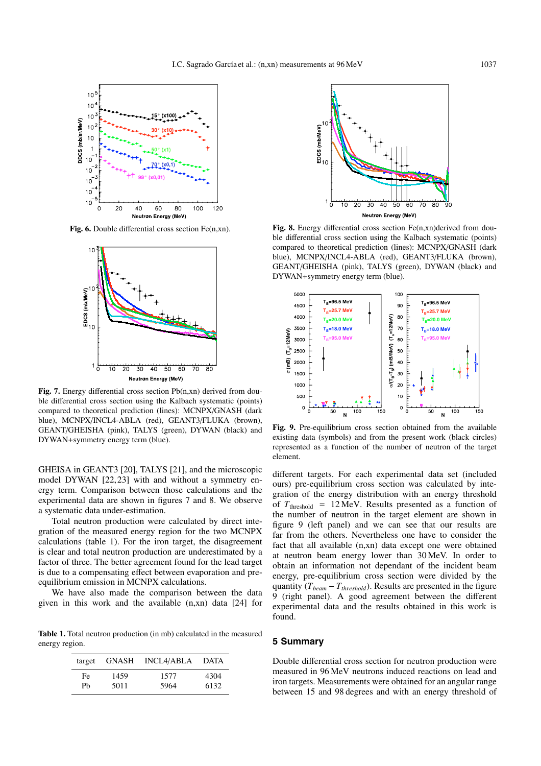

**Fig. 6.** Double differential cross section Fe(n,xn).



**Fig. 7.** Energy differential cross section Pb(n,xn) derived from double differential cross section using the Kalbach systematic (points) compared to theoretical prediction (lines): MCNPX/GNASH (dark blue), MCNPX/INCL4-ABLA (red), GEANT3/FLUKA (brown), GEANT/GHEISHA (pink), TALYS (green), DYWAN (black) and DYWAN+symmetry energy term (blue).

GHEISA in GEANT3 [20], TALYS [21], and the microscopic model DYWAN [22, 23] with and without a symmetry energy term. Comparison between those calculations and the experimental data are shown in figures 7 and 8. We observe a systematic data under-estimation.

Total neutron production were calculated by direct integration of the measured energy region for the two MCNPX calculations (table 1). For the iron target, the disagreement is clear and total neutron production are underestimated by a factor of three. The better agreement found for the lead target is due to a compensating effect between evaporation and preequilibrium emission in MCNPX calculations.

We have also made the comparison between the data given in this work and the available (n,xn) data [24] for

**Table 1.** Total neutron production (in mb) calculated in the measured energy region.

| target | GNASH | INCL4/ABLA | DATA |
|--------|-------|------------|------|
| Fe.    | 1459  | 1577       | 4304 |
| Ph     | 5011  | 5964       | 6132 |



Fig. 8. Energy differential cross section Fe(n,xn)derived from double differential cross section using the Kalbach systematic (points) compared to theoretical prediction (lines): MCNPX/GNASH (dark blue), MCNPX/INCL4-ABLA (red), GEANT3/FLUKA (brown), GEANT/GHEISHA (pink), TALYS (green), DYWAN (black) and DYWAN+symmetry energy term (blue).



**Fig. 9.** Pre-equilibrium cross section obtained from the available existing data (symbols) and from the present work (black circles) represented as a function of the number of neutron of the target element.

different targets. For each experimental data set (included ours) pre-equilibrium cross section was calculated by integration of the energy distribution with an energy threshold of  $T_{\text{threshold}} = 12 \,\text{MeV}$ . Results presented as a function of the number of neutron in the target element are shown in figure 9 (left panel) and we can see that our results are far from the others. Nevertheless one have to consider the fact that all available (n,xn) data except one were obtained at neutron beam energy lower than 30 MeV. In order to obtain an information not dependant of the incident beam energy, pre-equilibrium cross section were divided by the quantity  $(T_{beam} - T_{threshold})$ . Results are presented in the figure 9 (right panel). A good agreement between the different experimental data and the results obtained in this work is found.

## **5 Summary**

Double differential cross section for neutron production were measured in 96 MeV neutrons induced reactions on lead and iron targets. Measurements were obtained for an angular range between 15 and 98 degrees and with an energy threshold of